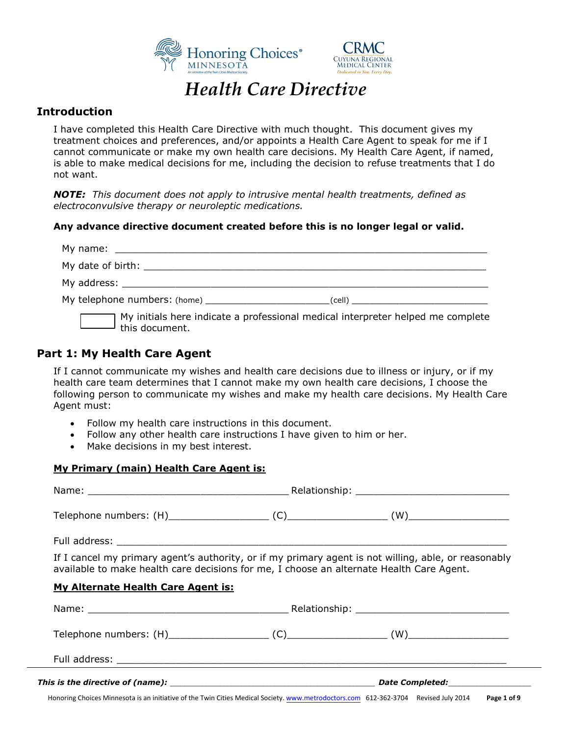



# *Health Care Directive*

## **Introduction**

I have completed this Health Care Directive with much thought. This document gives my treatment choices and preferences, and/or appoints a Health Care Agent to speak for me if I cannot communicate or make my own health care decisions. My Health Care Agent, if named, is able to make medical decisions for me, including the decision to refuse treatments that I do not want.

*NOTE: This document does not apply to intrusive mental health treatments, defined as electroconvulsive therapy or neuroleptic medications.* 

#### **Any advance directive document created before this is no longer legal or valid.**

| $\Box$ this document. | $\Box$ My initials here indicate a professional medical interpreter helped me complete |
|-----------------------|----------------------------------------------------------------------------------------|

## **Part 1: My Health Care Agent**

If I cannot communicate my wishes and health care decisions due to illness or injury, or if my health care team determines that I cannot make my own health care decisions, I choose the following person to communicate my wishes and make my health care decisions. My Health Care Agent must:

- Follow my health care instructions in this document.
- Follow any other health care instructions I have given to him or her.
- Make decisions in my best interest.

#### **My Primary (main) Health Care Agent is:**

| If I cancel my primary agent's authority, or if my primary agent is not willing, able, or reasonably<br>available to make health care decisions for me, I choose an alternate Health Care Agent. |  |  |
|--------------------------------------------------------------------------------------------------------------------------------------------------------------------------------------------------|--|--|
| <b>My Alternate Health Care Agent is:</b>                                                                                                                                                        |  |  |
|                                                                                                                                                                                                  |  |  |
|                                                                                                                                                                                                  |  |  |
|                                                                                                                                                                                                  |  |  |
|                                                                                                                                                                                                  |  |  |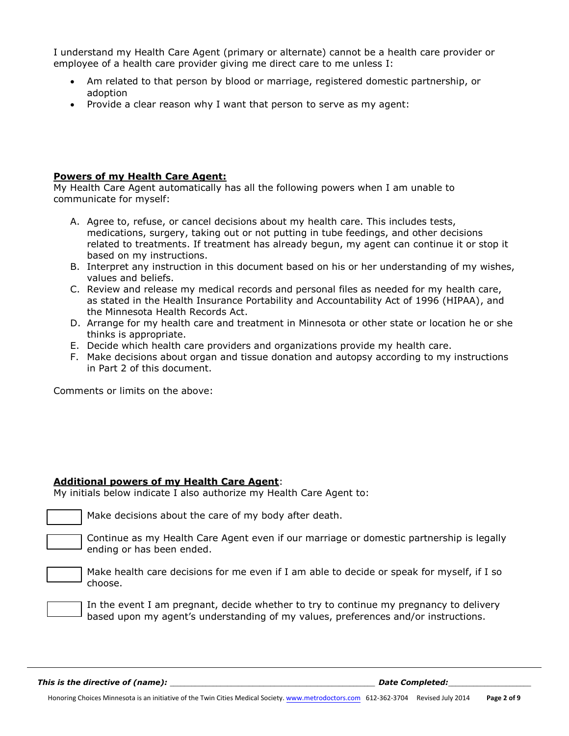I understand my Health Care Agent (primary or alternate) cannot be a health care provider or employee of a health care provider giving me direct care to me unless I:

- Am related to that person by blood or marriage, registered domestic partnership, or adoption
- Provide a clear reason why I want that person to serve as my agent:

#### **Powers of my Health Care Agent:**

My Health Care Agent automatically has all the following powers when I am unable to communicate for myself:

- A. Agree to, refuse, or cancel decisions about my health care. This includes tests, medications, surgery, taking out or not putting in tube feedings, and other decisions related to treatments. If treatment has already begun, my agent can continue it or stop it based on my instructions.
- B. Interpret any instruction in this document based on his or her understanding of my wishes, values and beliefs.
- C. Review and release my medical records and personal files as needed for my health care, as stated in the Health Insurance Portability and Accountability Act of 1996 (HIPAA), and the Minnesota Health Records Act.
- D. Arrange for my health care and treatment in Minnesota or other state or location he or she thinks is appropriate.
- E. Decide which health care providers and organizations provide my health care.
- F. Make decisions about organ and tissue donation and autopsy according to my instructions in Part 2 of this document.

Comments or limits on the above:

#### **Additional powers of my Health Care Agent**:

My initials below indicate I also authorize my Health Care Agent to:

Make decisions about the care of my body after death.

Continue as my Health Care Agent even if our marriage or domestic partnership is legally ending or has been ended.

Make health care decisions for me even if I am able to decide or speak for myself, if I so choose.

In the event I am pregnant, decide whether to try to continue my pregnancy to delivery based upon my agent's understanding of my values, preferences and/or instructions.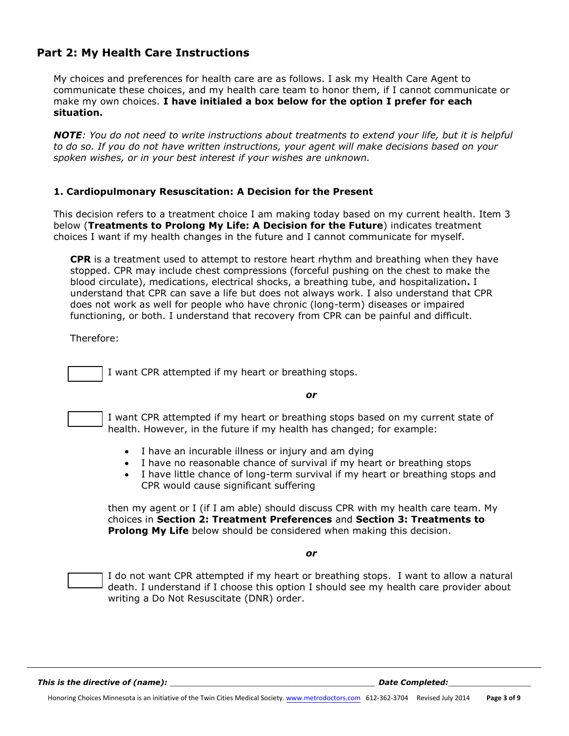## **Part 2: My Health Care Instructions**

My choices and preferences for health care are as follows. I ask my Health Care Agent to communicate these choices, and my health care team to honor them, if I cannot communicate or make my own choices. **I have initialed a box below for the option I prefer for each situation.**

*NOTE: You do not need to write instructions about treatments to extend your life, but it is helpful to do so. If you do not have written instructions, your agent will make decisions based on your spoken wishes, or in your best interest if your wishes are unknown.* 

#### **1. Cardiopulmonary Resuscitation: A Decision for the Present**

This decision refers to a treatment choice I am making today based on my current health. Item 3 below (**Treatments to Prolong My Life: A Decision for the Future**) indicates treatment choices I want if my health changes in the future and I cannot communicate for myself.

**CPR** is a treatment used to attempt to restore heart rhythm and breathing when they have stopped. CPR may include chest compressions (forceful pushing on the chest to make the blood circulate), medications, electrical shocks, a breathing tube, and hospitalization**.** I understand that CPR can save a life but does not always work. I also understand that CPR does not work as well for people who have chronic (long-term) diseases or impaired functioning, or both. I understand that recovery from CPR can be painful and difficult.

Therefore:

I want CPR attempted if my heart or breathing stops.

*or* 

I want CPR attempted if my heart or breathing stops based on my current state of health. However, in the future if my health has changed; for example:

- I have an incurable illness or injury and am dying
- I have no reasonable chance of survival if my heart or breathing stops
- I have little chance of long-term survival if my heart or breathing stops and CPR would cause significant suffering

then my agent or I (if I am able) should discuss CPR with my health care team. My choices in **Section 2: Treatment Preferences** and **Section 3: Treatments to Prolong My Life** below should be considered when making this decision.

*or*

I do not want CPR attempted if my heart or breathing stops. I want to allow a natural death. I understand if I choose this option I should see my health care provider about writing a Do Not Resuscitate (DNR) order.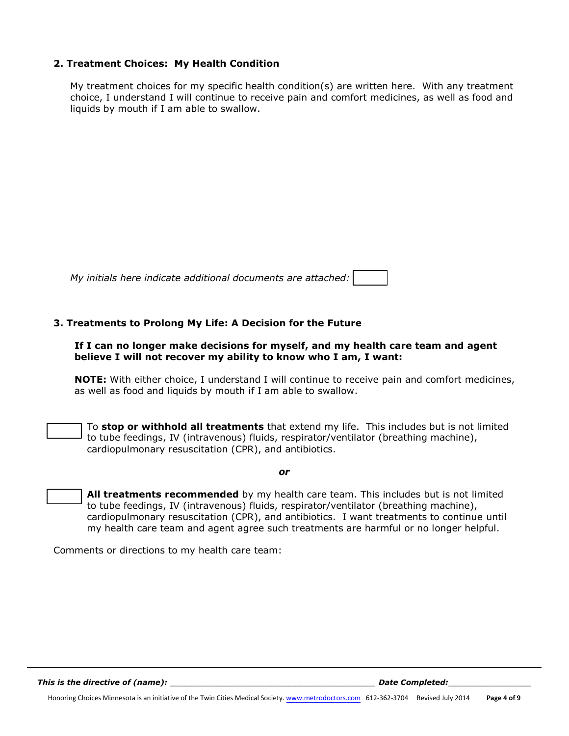#### **2. Treatment Choices: My Health Condition**

My treatment choices for my specific health condition(s) are written here. With any treatment choice, I understand I will continue to receive pain and comfort medicines, as well as food and liquids by mouth if I am able to swallow.

| My initials here indicate additional documents are attached: |  |  |
|--------------------------------------------------------------|--|--|
|--------------------------------------------------------------|--|--|

#### **3. Treatments to Prolong My Life: A Decision for the Future**

#### **If I can no longer make decisions for myself, and my health care team and agent believe I will not recover my ability to know who I am, I want:**

**NOTE:** With either choice, I understand I will continue to receive pain and comfort medicines, as well as food and liquids by mouth if I am able to swallow.

To **stop or withhold all treatments** that extend my life. This includes but is not limited to tube feedings, IV (intravenous) fluids, respirator/ventilator (breathing machine), cardiopulmonary resuscitation (CPR), and antibiotics.

*or*

**All treatments recommended** by my health care team. This includes but is not limited to tube feedings, IV (intravenous) fluids, respirator/ventilator (breathing machine), cardiopulmonary resuscitation (CPR), and antibiotics. I want treatments to continue until my health care team and agent agree such treatments are harmful or no longer helpful.

Comments or directions to my health care team: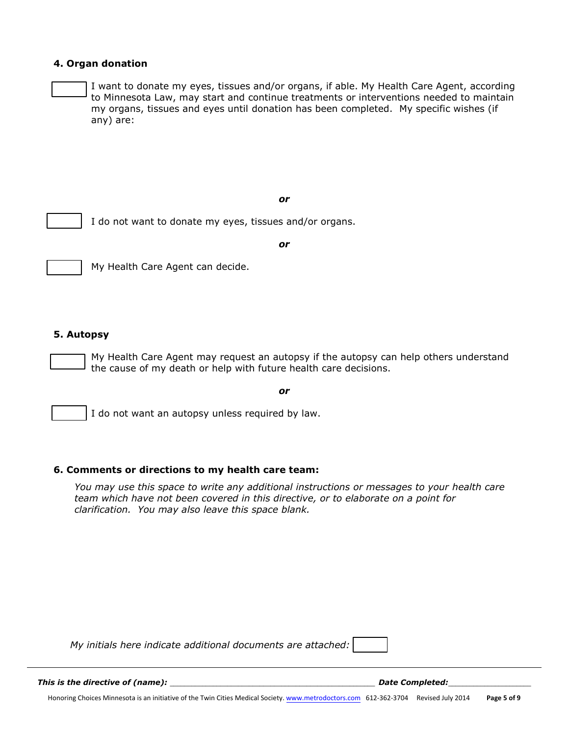#### **4. Organ donation**

I want to donate my eyes, tissues and/or organs, if able. My Health Care Agent, according to Minnesota Law, may start and continue treatments or interventions needed to maintain my organs, tissues and eyes until donation has been completed. My specific wishes (if any) are:

*or*



I do not want to donate my eyes, tissues and/or organs.

*or*

#### **5. Autopsy**

My Health Care Agent may request an autopsy if the autopsy can help others understand the cause of my death or help with future health care decisions.

*or*

I do not want an autopsy unless required by law.

#### **6. Comments or directions to my health care team:**

My Health Care Agent can decide.

*You may use this space to write any additional instructions or messages to your health care team which have not been covered in this directive, or to elaborate on a point for clarification. You may also leave this space blank.* 

*My initials here indicate additional documents are attached:* 

*This is the directive of (name):* the setting  $\blacksquare$   $\blacksquare$   $\blacksquare$   $\blacksquare$   $\blacksquare$   $\blacksquare$   $\blacksquare$   $\blacksquare$   $\blacksquare$   $\blacksquare$   $\blacksquare$   $\blacksquare$   $\blacksquare$   $\blacksquare$   $\blacksquare$   $\blacksquare$   $\blacksquare$   $\blacksquare$   $\blacksquare$   $\blacksquare$   $\blacksquare$   $\blacksquare$   $\blacksquare$   $\blacksquare$   $\blacksquare$ 

Honoring Choices Minnesota is an initiative of the Twin Cities Medical Society. [www.metrodoctors.com](http://www.metrodoctors.com/) 612-362-3704 Revised July 2014 **Page 5 of 9**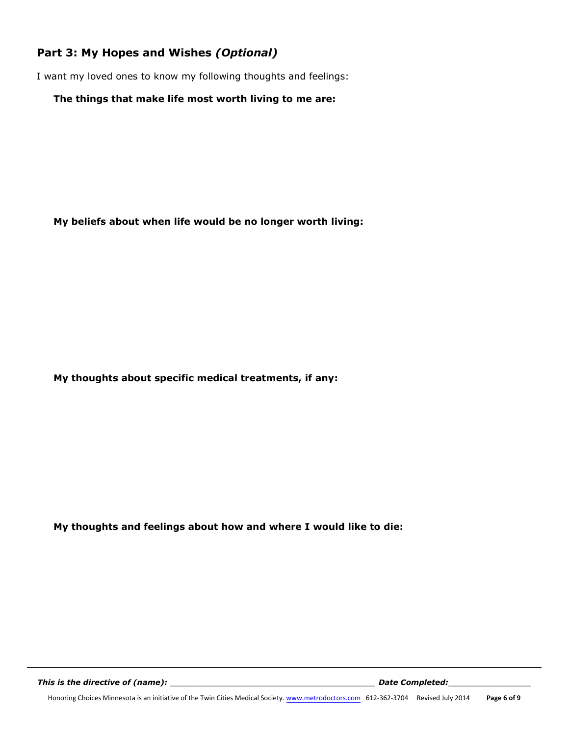# **Part 3: My Hopes and Wishes** *(Optional)*

I want my loved ones to know my following thoughts and feelings:

#### **The things that make life most worth living to me are:**

**My beliefs about when life would be no longer worth living:** 

**My thoughts about specific medical treatments, if any:** 

**My thoughts and feelings about how and where I would like to die:**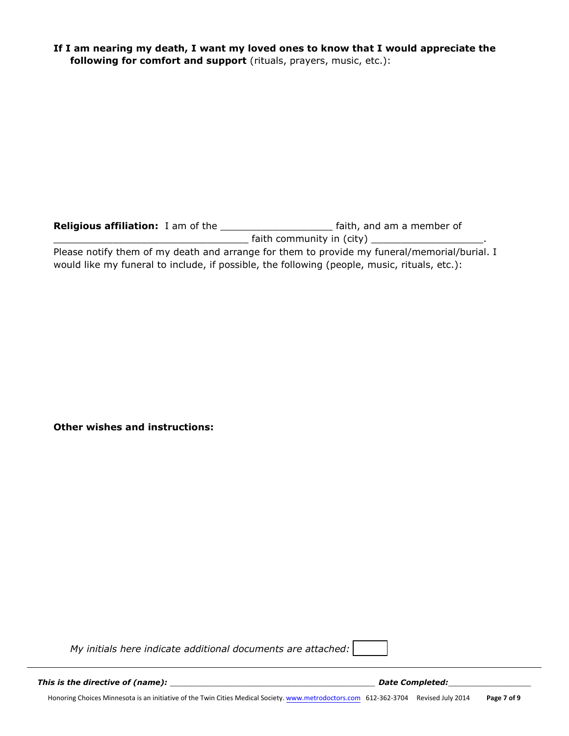**If I am nearing my death, I want my loved ones to know that I would appreciate the following for comfort and support** (rituals, prayers, music, etc.):

| <b>Religious affiliation:</b> I am of the | faith, and am a member of                                                                    |
|-------------------------------------------|----------------------------------------------------------------------------------------------|
|                                           | faith community in (city)                                                                    |
|                                           | Please notify them of my death and arrange for them to provide my funeral/memorial/burial. I |

would like my funeral to include, if possible, the following (people, music, rituals, etc.):

**Other wishes and instructions:** 

*My initials here indicate additional documents are attached:* 

*This is the directive of (name):* \_\_\_\_\_\_\_\_\_\_\_\_\_\_\_\_\_\_\_\_\_\_\_\_\_\_\_\_\_\_\_\_\_\_\_\_\_\_\_\_\_\_\_\_\_\_\_\_\_\_\_\_\_\_\_\_\_ *Date Completed:*\_\_\_\_\_\_\_\_\_\_\_\_\_\_\_\_\_\_\_\_\_\_\_

Honoring Choices Minnesota is an initiative of the Twin Cities Medical Society. [www.metrodoctors.com](http://www.metrodoctors.com/) 612-362-3704 Revised July 2014 **Page 7 of 9**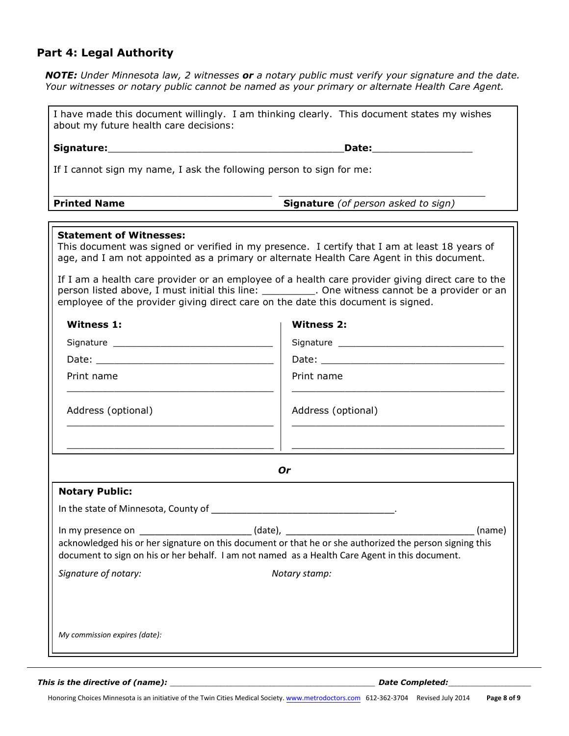# **Part 4: Legal Authority**

*NOTE: Under Minnesota law, 2 witnesses or a notary public must verify your signature and the date. Your witnesses or notary public cannot be named as your primary or alternate Health Care Agent.* 

| I have made this document willingly. I am thinking clearly. This document states my wishes<br>about my future health care decisions:                                                                                                                |                                                                                                                                                                                                                                |
|-----------------------------------------------------------------------------------------------------------------------------------------------------------------------------------------------------------------------------------------------------|--------------------------------------------------------------------------------------------------------------------------------------------------------------------------------------------------------------------------------|
|                                                                                                                                                                                                                                                     | Date: the contract of the contract of the contract of the contract of the contract of the contract of the contract of the contract of the contract of the contract of the contract of the contract of the contract of the cont |
| If I cannot sign my name, I ask the following person to sign for me:                                                                                                                                                                                |                                                                                                                                                                                                                                |
| <b>Printed Name</b>                                                                                                                                                                                                                                 | <b>Signature</b> (of person asked to sign)                                                                                                                                                                                     |
| <b>Statement of Witnesses:</b><br>This document was signed or verified in my presence. I certify that I am at least 18 years of<br>age, and I am not appointed as a primary or alternate Health Care Agent in this document.                        |                                                                                                                                                                                                                                |
| employee of the provider giving direct care on the date this document is signed.                                                                                                                                                                    | If I am a health care provider or an employee of a health care provider giving direct care to the<br>person listed above, I must initial this line: ___________. One witness cannot be a provider or an                        |
| <b>Witness 1:</b>                                                                                                                                                                                                                                   | <b>Witness 2:</b>                                                                                                                                                                                                              |
|                                                                                                                                                                                                                                                     |                                                                                                                                                                                                                                |
|                                                                                                                                                                                                                                                     |                                                                                                                                                                                                                                |
| Print name                                                                                                                                                                                                                                          | Print name                                                                                                                                                                                                                     |
| Address (optional)                                                                                                                                                                                                                                  | Address (optional)                                                                                                                                                                                                             |
|                                                                                                                                                                                                                                                     | 0r                                                                                                                                                                                                                             |
| <b>Notary Public:</b>                                                                                                                                                                                                                               |                                                                                                                                                                                                                                |
| In the state of Minnesota, County of Minnesota, County of                                                                                                                                                                                           |                                                                                                                                                                                                                                |
| (date),<br>(name)<br>In my presence on<br>acknowledged his or her signature on this document or that he or she authorized the person signing this<br>document to sign on his or her behalf. I am not named as a Health Care Agent in this document. |                                                                                                                                                                                                                                |
| Signature of notary:                                                                                                                                                                                                                                | Notary stamp:                                                                                                                                                                                                                  |
| My commission expires (date):                                                                                                                                                                                                                       |                                                                                                                                                                                                                                |